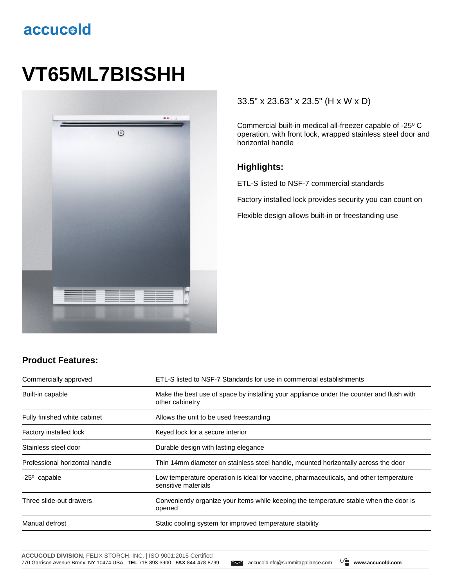## accucold

# **VT65ML7BISSHH**



#### 33.5" x 23.63" x 23.5" (H x W x D)

Commercial built-in medical all-freezer capable of -25º C operation, with front lock, wrapped stainless steel door and horizontal handle

#### **Highlights:**

ETL-S listed to NSF-7 commercial standards

Factory installed lock provides security you can count on

Flexible design allows built-in or freestanding use

#### **Product Features:**

| Commercially approved          | ETL-S listed to NSF-7 Standards for use in commercial establishments                                          |  |
|--------------------------------|---------------------------------------------------------------------------------------------------------------|--|
| Built-in capable               | Make the best use of space by installing your appliance under the counter and flush with<br>other cabinetry   |  |
| Fully finished white cabinet   | Allows the unit to be used freestanding                                                                       |  |
| Factory installed lock         | Keyed lock for a secure interior                                                                              |  |
| Stainless steel door           | Durable design with lasting elegance                                                                          |  |
| Professional horizontal handle | Thin 14mm diameter on stainless steel handle, mounted horizontally across the door                            |  |
| $-25^{\circ}$ capable          | Low temperature operation is ideal for vaccine, pharmaceuticals, and other temperature<br>sensitive materials |  |
| Three slide-out drawers        | Conveniently organize your items while keeping the temperature stable when the door is<br>opened              |  |
| Manual defrost                 | Static cooling system for improved temperature stability                                                      |  |

**ACCUCOLD DIVISION**, FELIX STORCH, INC. | ISO 9001:2015 Certified 770 Garrison Avenue Bronx, NY 10474 USA **TEL** 718-893-3900 **FAX** 844-478-8799 accucoldinfo@summitappliance.com **www.accucold.com**